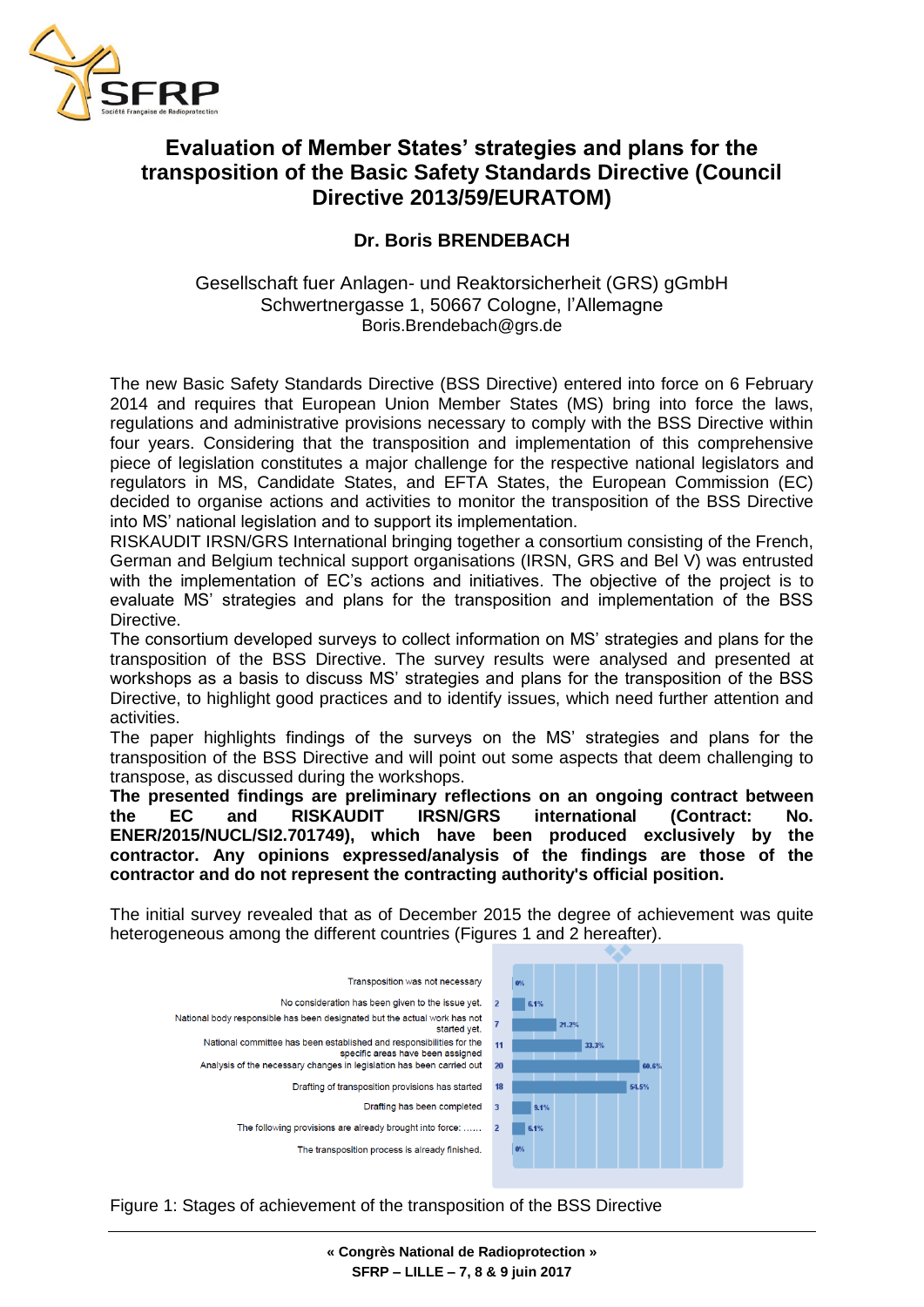

## **Evaluation of Member States' strategies and plans for the transposition of the Basic Safety Standards Directive (Council Directive 2013/59/EURATOM)**

## **Dr. Boris BRENDEBACH**

## Gesellschaft fuer Anlagen- und Reaktorsicherheit (GRS) gGmbH Schwertnergasse 1, 50667 Cologne, l'Allemagne Boris.Brendebach@grs.de

The new Basic Safety Standards Directive (BSS Directive) entered into force on 6 February 2014 and requires that European Union Member States (MS) bring into force the laws, regulations and administrative provisions necessary to comply with the BSS Directive within four years. Considering that the transposition and implementation of this comprehensive piece of legislation constitutes a major challenge for the respective national legislators and regulators in MS, Candidate States, and EFTA States, the European Commission (EC) decided to organise actions and activities to monitor the transposition of the BSS Directive into MS' national legislation and to support its implementation.

RISKAUDIT IRSN/GRS International bringing together a consortium consisting of the French, German and Belgium technical support organisations (IRSN, GRS and Bel V) was entrusted with the implementation of EC's actions and initiatives. The objective of the project is to evaluate MS' strategies and plans for the transposition and implementation of the BSS Directive.

The consortium developed surveys to collect information on MS' strategies and plans for the transposition of the BSS Directive. The survey results were analysed and presented at workshops as a basis to discuss MS' strategies and plans for the transposition of the BSS Directive, to highlight good practices and to identify issues, which need further attention and activities.

The paper highlights findings of the surveys on the MS' strategies and plans for the transposition of the BSS Directive and will point out some aspects that deem challenging to transpose, as discussed during the workshops.

**The presented findings are preliminary reflections on an ongoing contract between the EC and RISKAUDIT IRSN/GRS international (Contract: No. ENER/2015/NUCL/SI2.701749), which have been produced exclusively by the contractor. Any opinions expressed/analysis of the findings are those of the contractor and do not represent the contracting authority's official position.**

The initial survey revealed that as of December 2015 the degree of achievement was quite heterogeneous among the different countries (Figures 1 and 2 hereafter).



Figure 1: Stages of achievement of the transposition of the BSS Directive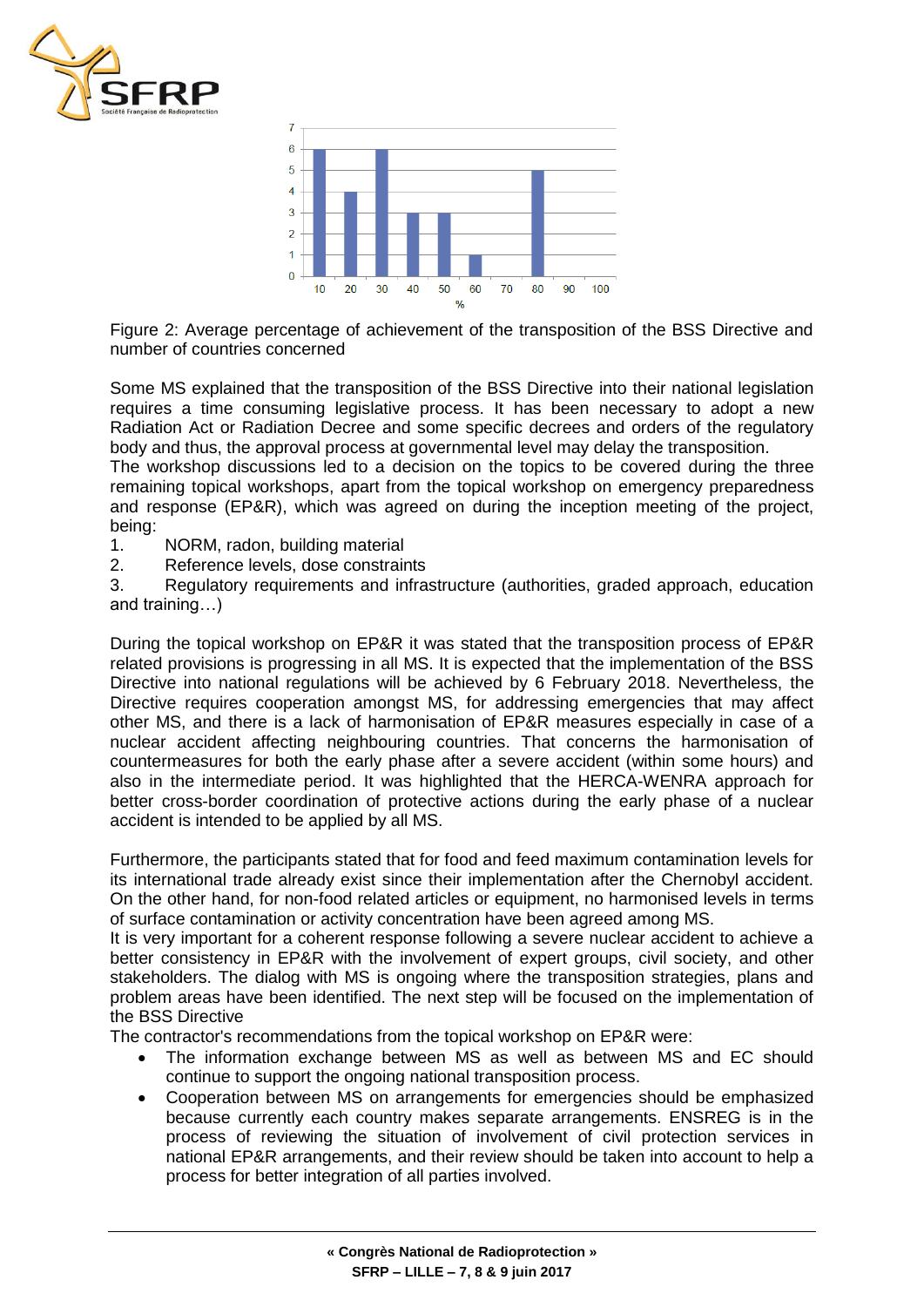



Figure 2: Average percentage of achievement of the transposition of the BSS Directive and number of countries concerned

Some MS explained that the transposition of the BSS Directive into their national legislation requires a time consuming legislative process. It has been necessary to adopt a new Radiation Act or Radiation Decree and some specific decrees and orders of the regulatory body and thus, the approval process at governmental level may delay the transposition.

The workshop discussions led to a decision on the topics to be covered during the three remaining topical workshops, apart from the topical workshop on emergency preparedness and response (EP&R), which was agreed on during the inception meeting of the project, being:

- 1. NORM, radon, building material
- 2. Reference levels, dose constraints

3. Regulatory requirements and infrastructure (authorities, graded approach, education and training…)

During the topical workshop on EP&R it was stated that the transposition process of EP&R related provisions is progressing in all MS. It is expected that the implementation of the BSS Directive into national regulations will be achieved by 6 February 2018. Nevertheless, the Directive requires cooperation amongst MS, for addressing emergencies that may affect other MS, and there is a lack of harmonisation of EP&R measures especially in case of a nuclear accident affecting neighbouring countries. That concerns the harmonisation of countermeasures for both the early phase after a severe accident (within some hours) and also in the intermediate period. It was highlighted that the HERCA-WENRA approach for better cross-border coordination of protective actions during the early phase of a nuclear accident is intended to be applied by all MS.

Furthermore, the participants stated that for food and feed maximum contamination levels for its international trade already exist since their implementation after the Chernobyl accident. On the other hand, for non-food related articles or equipment, no harmonised levels in terms of surface contamination or activity concentration have been agreed among MS.

It is very important for a coherent response following a severe nuclear accident to achieve a better consistency in EP&R with the involvement of expert groups, civil society, and other stakeholders. The dialog with MS is ongoing where the transposition strategies, plans and problem areas have been identified. The next step will be focused on the implementation of the BSS Directive

The contractor's recommendations from the topical workshop on EP&R were:

- The information exchange between MS as well as between MS and EC should continue to support the ongoing national transposition process.
- Cooperation between MS on arrangements for emergencies should be emphasized because currently each country makes separate arrangements. ENSREG is in the process of reviewing the situation of involvement of civil protection services in national EP&R arrangements, and their review should be taken into account to help a process for better integration of all parties involved.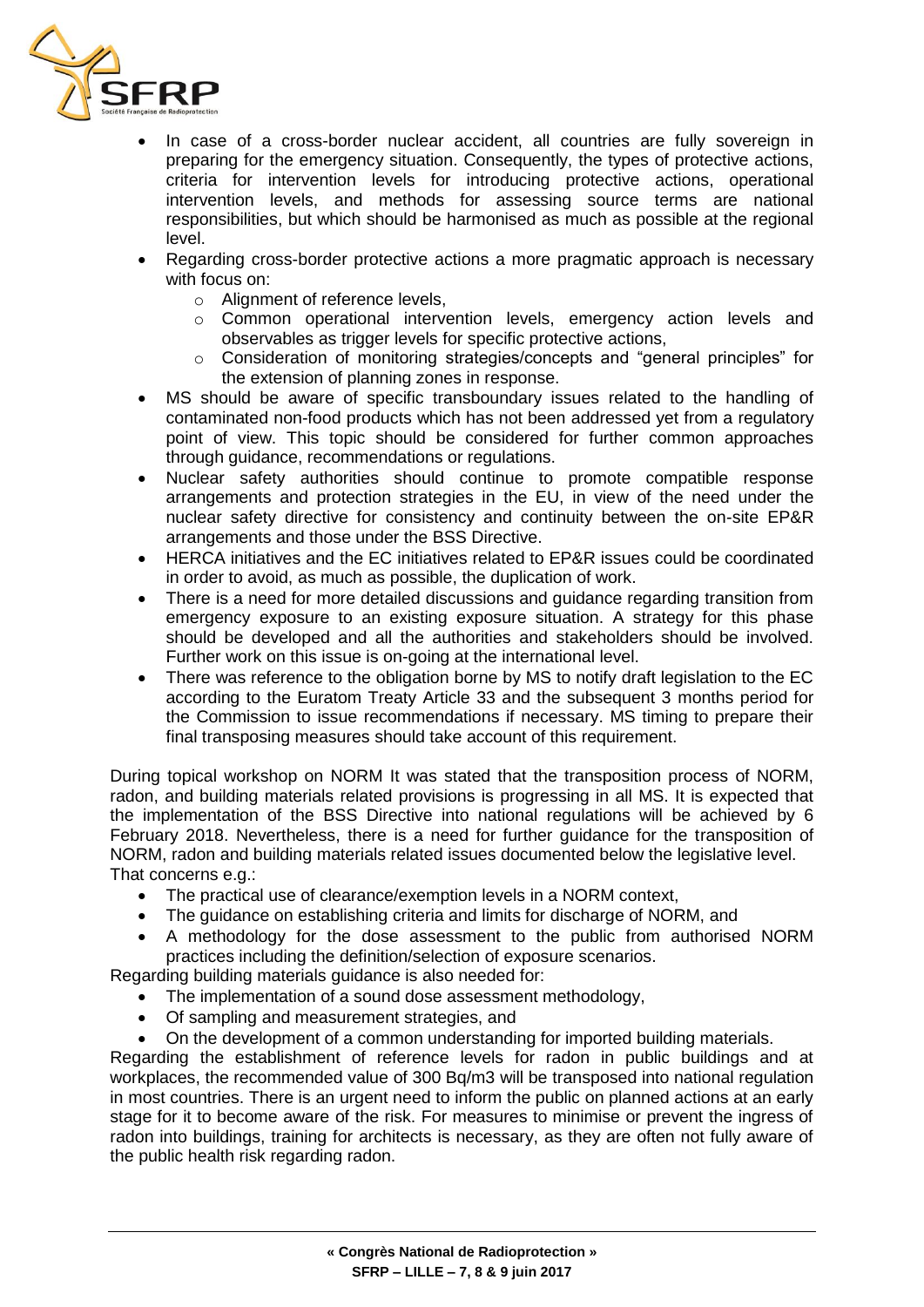

- In case of a cross-border nuclear accident, all countries are fully sovereign in preparing for the emergency situation. Consequently, the types of protective actions, criteria for intervention levels for introducing protective actions, operational intervention levels, and methods for assessing source terms are national responsibilities, but which should be harmonised as much as possible at the regional level.
- Regarding cross-border protective actions a more pragmatic approach is necessary with focus on:
	- o Alignment of reference levels,
	- $\circ$  Common operational intervention levels, emergency action levels and observables as trigger levels for specific protective actions,
	- o Consideration of monitoring strategies/concepts and "general principles" for the extension of planning zones in response.
- MS should be aware of specific transboundary issues related to the handling of contaminated non-food products which has not been addressed yet from a regulatory point of view. This topic should be considered for further common approaches through guidance, recommendations or regulations.
- Nuclear safety authorities should continue to promote compatible response arrangements and protection strategies in the EU, in view of the need under the nuclear safety directive for consistency and continuity between the on-site EP&R arrangements and those under the BSS Directive.
- HERCA initiatives and the EC initiatives related to EP&R issues could be coordinated in order to avoid, as much as possible, the duplication of work.
- There is a need for more detailed discussions and guidance regarding transition from emergency exposure to an existing exposure situation. A strategy for this phase should be developed and all the authorities and stakeholders should be involved. Further work on this issue is on-going at the international level.
- There was reference to the obligation borne by MS to notify draft legislation to the EC according to the Euratom Treaty Article 33 and the subsequent 3 months period for the Commission to issue recommendations if necessary. MS timing to prepare their final transposing measures should take account of this requirement.

During topical workshop on NORM It was stated that the transposition process of NORM, radon, and building materials related provisions is progressing in all MS. It is expected that the implementation of the BSS Directive into national regulations will be achieved by 6 February 2018. Nevertheless, there is a need for further guidance for the transposition of NORM, radon and building materials related issues documented below the legislative level. That concerns e.g.:

- The practical use of clearance/exemption levels in a NORM context,
- The quidance on establishing criteria and limits for discharge of NORM, and
- A methodology for the dose assessment to the public from authorised NORM practices including the definition/selection of exposure scenarios.

Regarding building materials guidance is also needed for:

- The implementation of a sound dose assessment methodology,
- Of sampling and measurement strategies, and
- On the development of a common understanding for imported building materials.

Regarding the establishment of reference levels for radon in public buildings and at workplaces, the recommended value of 300 Bq/m3 will be transposed into national regulation in most countries. There is an urgent need to inform the public on planned actions at an early stage for it to become aware of the risk. For measures to minimise or prevent the ingress of radon into buildings, training for architects is necessary, as they are often not fully aware of the public health risk regarding radon.